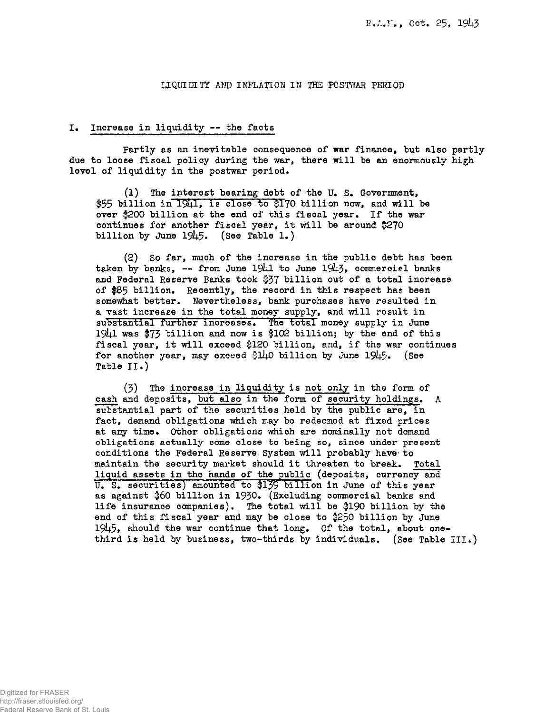### LIQUIDITY AND INFLATION IN THE POSTWAR PERIOD

#### I. Increase in liquidity — the facts

Partly as an inevitable consequence of war finance, but also partly due to loose fiscal policy during the war, there will be an enormously high level of liquidity in the postwar period.

(1) The interest bearing debt of the U. S. Government,  $$55$  billion in  $1941$ , is close to  $$170$  billion now, and will be over \$200 billion at the end of this fiscal year. If the war continues for another fiscal year, it will be around *\$2\*J0*  billion by June  $1945.$  (See Table 1.)

(2) So far, much of the increase in the public debt has been taken by banks, -- from June  $19\downarrow 1$  to June  $19\downarrow 3$ , commercial banks and Federal Reserve Banks took \$37 billion out of a total increase of \$85 billion. Recently, the record in this respect has been somewhat better. Nevertheless, bank purchases have resulted in a vast increase in the total money supply, and will result in substantial further increases. The total money supply in June 1941 was \$73 billion and now is \$102 billion; by the end of this fiscal year, it will exceed \$120 billion, and, if the war continues for another year, may exceed  $$1/10$  billion by June 1945. (See Table II.)

(3) The increase in liquidity is not only in the form of cash and deposits, but also in the form of security holdings. A substantial part of the securities held by the public are, in fact, demand obligations which may be redeemed at fixed prices at any time. Other obligations which are nominally not demand obligations actually come close to being so, since under present conditions the Federal Reserve System will probably have- to maintain the security market should it threaten to break. Total liquid assets in the hands of the public (deposits, currency and U. S. securities) amounted to \$139 billion in June of this year as against \$60 billion in 1930. (Excluding commercial banks and life insurance companies). The total will be |190 billion by the end of this fiscal year and may be close to \$250 billion by June 1945, should the war continue that long. Of the total, about onethird is held by business, two-thirds by individuals. (See Table III.)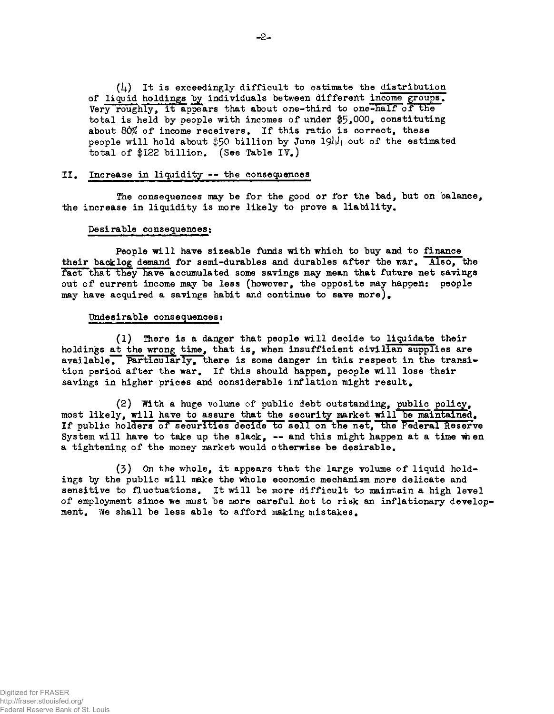$(l_1)$  It is exceedingly difficult to estimate the distribution of liquid holdings by individuals between different income groups. Very roughly, it appears that about one-third to one-half of the total is held by people with incomes of under  $$5,000$ , constituting about 80% of income receivers. If this ratio is correct, these people will hold about  $$50$  billion by June 19 $\mu$  out of the estimated total of \$122 billion. (See Table IV.)

#### II. Increase in liquidity -- the consequences

The consequences may be for the good or for the bad, but on balance, the increase in liquidity is more likely to prove a liability.

#### Desirable consequences;

People will have sizeable funds with which to buy and to finance their backlog demand for semi-durables and durables after the war. Also, the fact that they have accumulated some savings may mean that future net savings out of current income may be less (however, the opposite may happen: people may have acquired a savings habit and continue to save more).

### Undesirable consequences:

(1) There is a danger that people will decide to liquidate their holdings at the wrong time, that is, when insufficient civilian supplies are available. Particularly, there is some danger in this respect in the transition period after the war. If this should happen, people will lose their savings in higher prices and considerable inflation might result.

(2) With a huge volume of public debt outstanding, public policy, most likely, will have to assure that the security market will be maintained. If public holders of securities decide to sell on the net, the Federal Reserve System will have to take up the slack,  $-$  and this might happen at a time when a tightening of the money market would otherwise be desirable.

(3) On the whole, it appears that the large volume of liquid holdings by the public will make the whole economic mechanism more delicate and sensitive to fluctuations. It will be more difficult to maintain a high level of employment since we must be more careful not to risk an inflationary development. We shall be less able to afford making mistakes.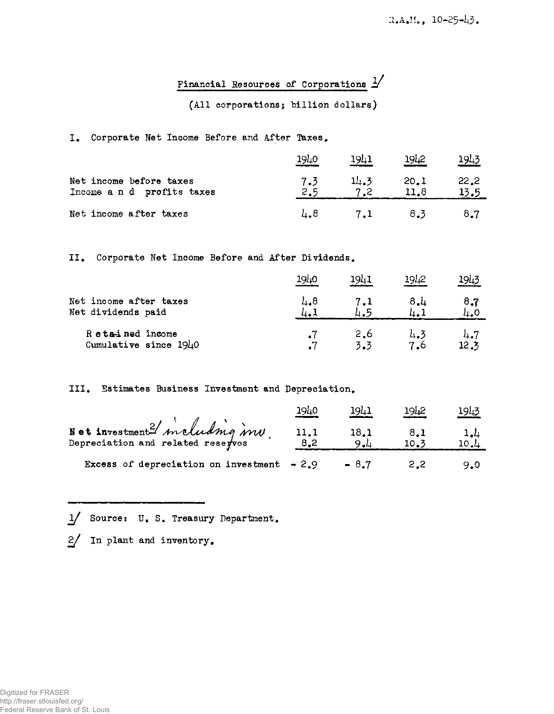## Financial Resources of Corporations  $1/$

## (All corporations; billion dollars)

## I. Corporate Net Income Before and After Taxes.

|                                                       | 1940       | 1941 | 1942         | <u> 1943</u> |
|-------------------------------------------------------|------------|------|--------------|--------------|
| Net income before taxes<br>Income a n d profits taxes | 7.3<br>2.5 | 14.3 | 20.1<br>11.8 | 22.2<br>13.5 |
| Net income after taxes                                | 4.8        | 7.1  | 8.3          | 8.7          |

II. Corporate Net Income Before and After Dividends.

|                                              | <u> 1940</u> | 1941       | 1942       | 1943        |
|----------------------------------------------|--------------|------------|------------|-------------|
| Net income after taxes<br>Net dividends paid | 4.8<br>ப. .  | 7.1        | 8.4        | 8,7<br>4.0  |
| Retained income<br>Cumulative since 1940     | $\cdot^7$    | 2.6<br>3.3 | 4.3<br>7.6 | 4.7<br>12.3 |

## III. Estimates Business Investment and Depreciation.

|                                                                  | 1940        | 19L1        | 19 <sub>42</sub> | <u> 1943 </u>  |
|------------------------------------------------------------------|-------------|-------------|------------------|----------------|
| Not investment? maluding in<br>Depreciation and related reserves | 11.1<br>8.2 | 18.1<br>9.1 | 8.1<br>10.3      | $\frac{1}{10}$ |
| Excess of depreciation on investment $-2.9$                      |             | $-8.7$      | 2.2              | 9.0            |

1/ Source: U. S. Treasury Department.

 $2/$  In plant and inventory.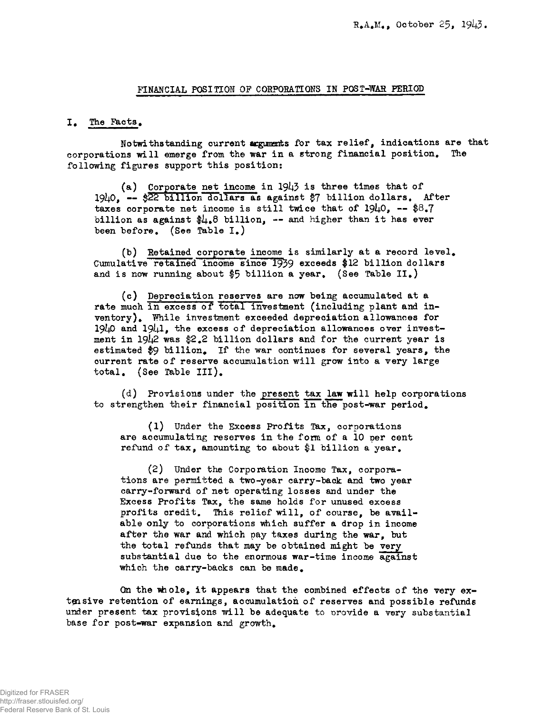#### FINANCIAL POSITION OP CORPORATIONS IN POST-WAR PERIOD

#### I. The Facts.

Notwithstanding current arguments for tax relief, indications are that corporations will emerge from the war in a strong financial position. The following figures support this position:

(a) Corporate net income in  $19\downarrow3$  is three times that of  $19\mu$ 0. -- \$22 billion dollars as against \$7 billion dollars. After taxes corporate net income is still twice that of  $19\mu$ 0, -- \$8.7 billion as against  $\frac{1}{6}$ .8 billion, -- and higher than it has ever been before. (See Table I.)

(b) Retained corporate income is similarly at a record level. Cumulative retained income since 1939 exceeds #12 billion dollars and is now running about  $$5$  billion a year. (See Table II.)

(c) Depreciation reserves are now being accumulated at a rate much in excess of total investment (including plant and inventory). While investment exceeded depreciation allowances for 19 $\mu$ 0 and 19 $\mu$ 1, the excess of depreciation allowances over investment in  $19\mu$ 2 was \$2.2 billion dollars and for the current year is estimated \$9 billion. If the war continues for several years, the current rate of reserve accumulation will grow into a very large total. (See Table III).

(d) Provisions under the present tax law will help corporations to strengthen their financial position in the post-war period.

(1) Under the Excess Profits Tax, corporations are accumulating reserves in the form of a 10 per cent refund of tax, amounting to about \$1 billion a year.

(2) Under the Corporation Income Tax, corporations are permitted a two-year carry-back and two year carry-forward of net operating losses and under the Excess Profits Tax, the same holds for unused excess profits credit. This relief will, of course, be available only to corporations which suffer a drop in income after the war and which pay taxes during the war, but the total refunds that may be obtained might be very substantial due to the enormous war-time income against which the carry-backs can be made.

On the whole, it appears that the combined effects of the very extensive retention of earnings, accumulation of reserves and possible refunds under present tax provisions will be adequate to provide a very substantial base for post-war expansion and growth.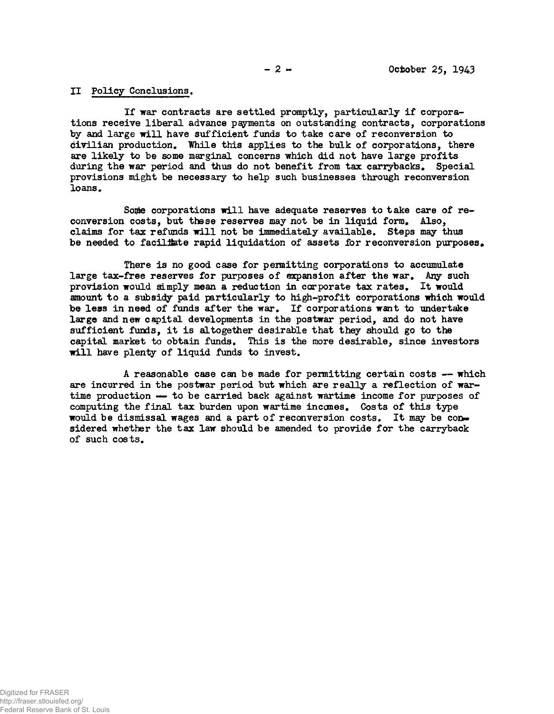### **II Policy Conclusions.**

**If war contracts are settled promptly, particularly if corporations receive liberal advance** payments **on outstanding contracts, corporations by and large will have sufficient funds to take care of reconversion to civilian production. While this applies to the bulk of corporations, there are likely to be some marginal concerns which did not have large profits during the war period and thus do not benefit from tax carrybacks. Special provisions might be necessary to help such businesses through reconversion loans.** 

Some corporations will have adequate reserves to take care of re**conversion costs, but these reserves may not be in liquid form. Also, claims for tax refunds will not be immediately available. Steps may thus be needed to facilitate rapid liquidation of assets for reconversion purposes.** 

**There is no good case for permitting corporations to accumulate large tax-free reserves for purposes of expansion after the war. Any such provision would simply mean a reduction in corporate tax rates. It would amount to a subsidy paid particularly to high-profit corporations which would be less in need of funds after the war. If corporations want to undertake large and new capital developments in the postwar period, and do not have sufficient funds, it is altogether desirable that they should go to the capital market to obtain funds. This is the more desirable, since investors will have plenty of liquid funds to invest.** 

**A reasonable case can be made for permitting certain costs — which are incurred in the postwar period but which are really a reflection of wartime production — to be carried back against wartime income for purposes of computing the final tax burden upon wartime inccmes. Costs of this type would be dismissal wages and a part of reconversion costs. It may be con-\* sidered whether the tax law should be amended to provide for the carryback of such costs.**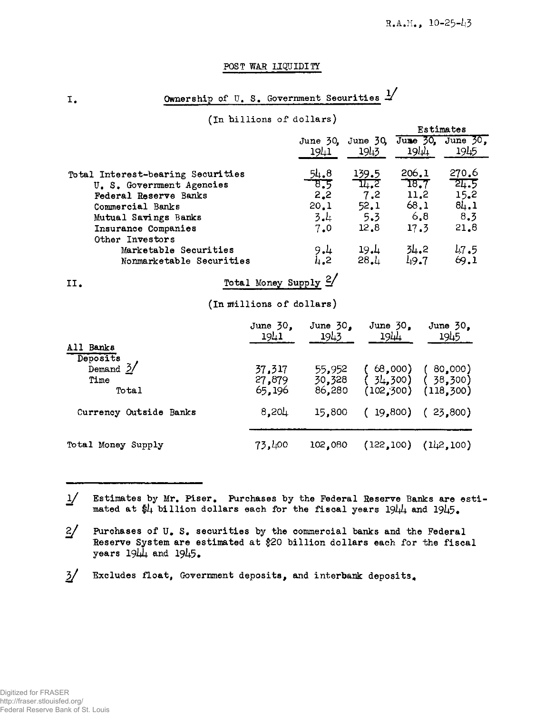## POST WAR LIQUIDITY

Ownership of U.S. Government Securities 1/

## (In hillions of dollars)

|                                   |                    |                  | Estimates |                           |  |
|-----------------------------------|--------------------|------------------|-----------|---------------------------|--|
|                                   | June $50s$<br>1941 | June 30.<br>1943 | 1944      | June 30, June 30,<br>1945 |  |
| Total Interest-bearing Securities | $\frac{54.8}{8.5}$ | 139.5            | 206.1     | 270.6                     |  |
| U. S. Government Agencies         |                    | 14.2             | T8.7      | 24.5                      |  |
| <b>Federal Reserve Banks</b>      | 2,2                | 7.2              | 11,2      | 15.2                      |  |
| Commercial Banks                  | 20.1               | 52.1             | 68.1      | 8L.1                      |  |
| Mutual Savings Banks              | 3.4                | 5.3              | 6.8       | 8.3                       |  |
| Insurance Companies               | 7.0                | 12.8             | 17.3      | 21.8                      |  |
| Other Investors                   |                    |                  |           |                           |  |
| Marketable Securities             | 9.4                | 19.4             | 31.2      | 47.5                      |  |
| Nonmarketable Securities          | 4.2                | 28.1             | 49.7      | 69.1                      |  |

#### Total Money Supply 2/ II.

(In millions of dollars)

| All Banks                                         | June $30s$<br>1941         | June $30n$<br>1943         | June $30z$<br>1944             | June $50z$<br>1945              |
|---------------------------------------------------|----------------------------|----------------------------|--------------------------------|---------------------------------|
| Deposits<br>Demand $\frac{3}{ }$<br>Time<br>Total | 37,317<br>27,879<br>65,196 | 55,952<br>30,328<br>86,280 | 68,000<br>34,300<br>(102, 300) | 80,000)<br>38,300<br>(118, 300) |
| Currency Outside Banks                            | $8,20 \downarrow$          | 15,800                     |                                | $19,800$ ( 23,800)              |
| Total Money Supply                                | 73,400                     | 102,080                    | (122, 100)                     | (11,2,100)                      |

 $\frac{1}{2}$ Estimates by Mr. Piser. Purchases by the Federal Reserve Banks are estimated at  $\frac{1}{2}$  billion dollars each for the fiscal years  $19\frac{1}{4}$  and  $19\frac{1}{5}$ .

 $2/$ Purchases of U.S. securities by the commercial banks and the Federal Reserve System are estimated at \$20 billion dollars each for the fiscal years  $19\mu\mu$  and  $19\mu5$ .

 $\frac{3}{ }$ Excludes float, Government deposits, and interbank deposits.

I.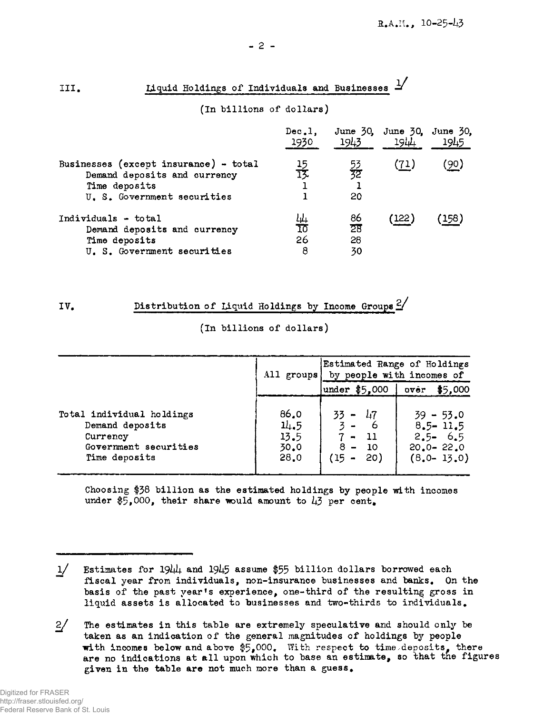| ----<br>Tranta Molatuko ol Thatsiangio ena hastnoosas                 |                 |                 |                                    |             |
|-----------------------------------------------------------------------|-----------------|-----------------|------------------------------------|-------------|
| (In billions of dollars)                                              |                 |                 |                                    |             |
|                                                                       | Dec.1.<br>1930  | 1943            | June 30, June 30, June 30,<br>1944 | 1945        |
| Businesses (except insurance) - total<br>Demand deposits and currency | <u>15</u><br>13 | 53<br>32        | <u>(71)</u>                        | <u>(90)</u> |
| Time deposits<br>U. S. Government securities                          |                 | 20              |                                    |             |
| Individuals - total                                                   | 10<br>10        | 86              | (122)                              | (158)       |
| Demand deposits and currency                                          |                 | $\overline{28}$ |                                    |             |
| Time deposits                                                         | 26              | 28              |                                    |             |
| U. S. Government securities                                           | 8               | 30              |                                    |             |

# **III. Liquid Holdings of Individuals and Businesses**  $\frac{1}{2}$

IV. Distribution of Liquid Holdings by Income Groups  $\frac{2}{3}$ 

## (In billions of dollars)

|                                                                                                    | All groups                           | by people with incomes of                                               | Estimated Range of Holdings                                                   |  |
|----------------------------------------------------------------------------------------------------|--------------------------------------|-------------------------------------------------------------------------|-------------------------------------------------------------------------------|--|
|                                                                                                    |                                      | under $$5,000$                                                          | \$5,000<br>over                                                               |  |
| Total individual holdings<br>Demand deposits<br>Currency<br>Government securities<br>Time deposits | 86.0<br>11.5<br>13.5<br>30.0<br>28.0 | $33 -$<br>47<br>$3 -$<br>$7 -$<br>- 11<br>$8 -$<br>- 10<br>(15 –<br>20) | $39 - 53.0$<br>$8.5 - 11.5$<br>$2.5 - 6.5$<br>$20.0 - 22.0$<br>$(8,0 - 13,0)$ |  |

Choosing  $$38$  billion as the estimated holdings by people with incomes under \$5,000, their share would amount to  $\mu$ 3 per cent.

<sup>1/</sup> Estimates for 19 $\mu$ <sub>4</sub> and 19 $\mu$ 5 assume \$55 billion dollars borrowed each fiscal year from individuals, non-insurance businesses and banks. On the basis of the past year's experience, one-third of the resulting gross in liquid assets is allocated to businesses and two-thirds to individuals.

<sup>2/</sup> The estimates in this table are extremely speculative and should only be taken as an indication of the general magnitudes of holdings by people with incomes below and above  $$5,000$ . With respect to time/deposits, there are no indications at all upon which to base an estimate, so that the figures  $\overline{\phantom{a}}$ given in the table are not much more than a guess.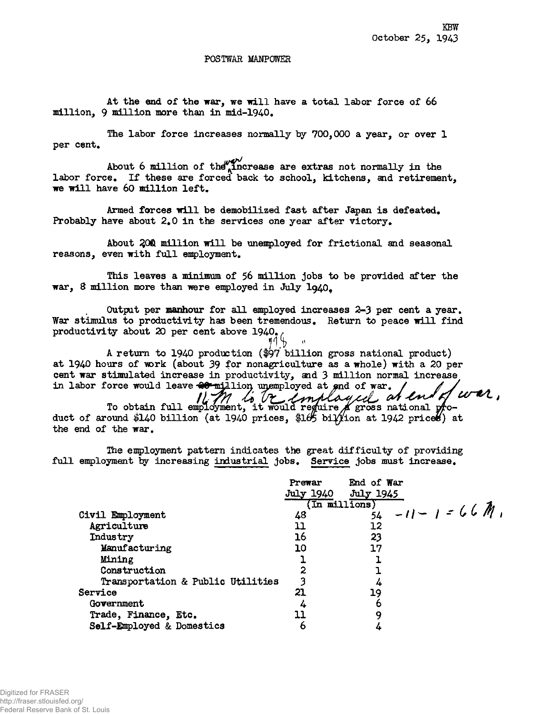#### POSTWAR MANPOWER

At the end of the war, we will have a total labor force of 66 **million, 9 million more than in mid-1940.** 

**The labor force increases normally by 700,000 a year, or over 1**  per cent.

About 6 million of the increase are extras not normally in the labor force. If these are forced back to school, kitchens, and retirement, **we will have 60 million left.** 

Armed forces will be demobilized fast after Japan is defeated. Probably have about 2.0 in the services one year after victory.

**About £0® million will be unemployed for frictionai and seasonal reasons, even with full employment.** 

**This leaves a minimum of 56 million jobs to be provided after the war, & million more than were employed in July lg40<sup>f</sup>**

**Output per manhour for all employed increases 2-3 per cent a year.**  War stimulus to productivity has been tremendous. Return to peace will find **productivity about 20 per cent above 1940\*<sup>t</sup>**

*in* " **A return to 1940 production (#97 billion gross national product) at 1940 hours of -work (about 39 fo? nonagriculture as a whole) with a 20 per cent war stimulated increase in productivity, and 3 million normal increase**  In labor force would leave would have mix lion unemployed at end of war. / / / / /

1671 is be employed an **To obtain full employment, it would require Jfgross national product of around \$140 billion (at 1940 prices, \$105 biffion at 1942 prices) at the end of the war.** 

**The employment pattern indicates the great difficulty of providing full employment by increasing industrial jobs. Service jobs must increase.** 

|                                   | Prewar<br>July 1940 | End of War<br>July 1945<br>$(Tn$ millions) |  |
|-----------------------------------|---------------------|--------------------------------------------|--|
| Civil Employment                  | 48                  | $\frac{1}{54}$ -11 - 1 = 66 M              |  |
| Agriculture                       | 11                  | 12                                         |  |
| Industry                          | 16                  | 23                                         |  |
| Manufacturing                     | 10                  | 17                                         |  |
| Mining                            |                     |                                            |  |
| Construction                      |                     |                                            |  |
| Transportation & Public Utilities |                     |                                            |  |
| Service                           | 21                  | 19                                         |  |
| Government                        |                     |                                            |  |
| Trade, Finance, Etc.              |                     | q                                          |  |
| Self-Employed & Domestics         | O                   |                                            |  |